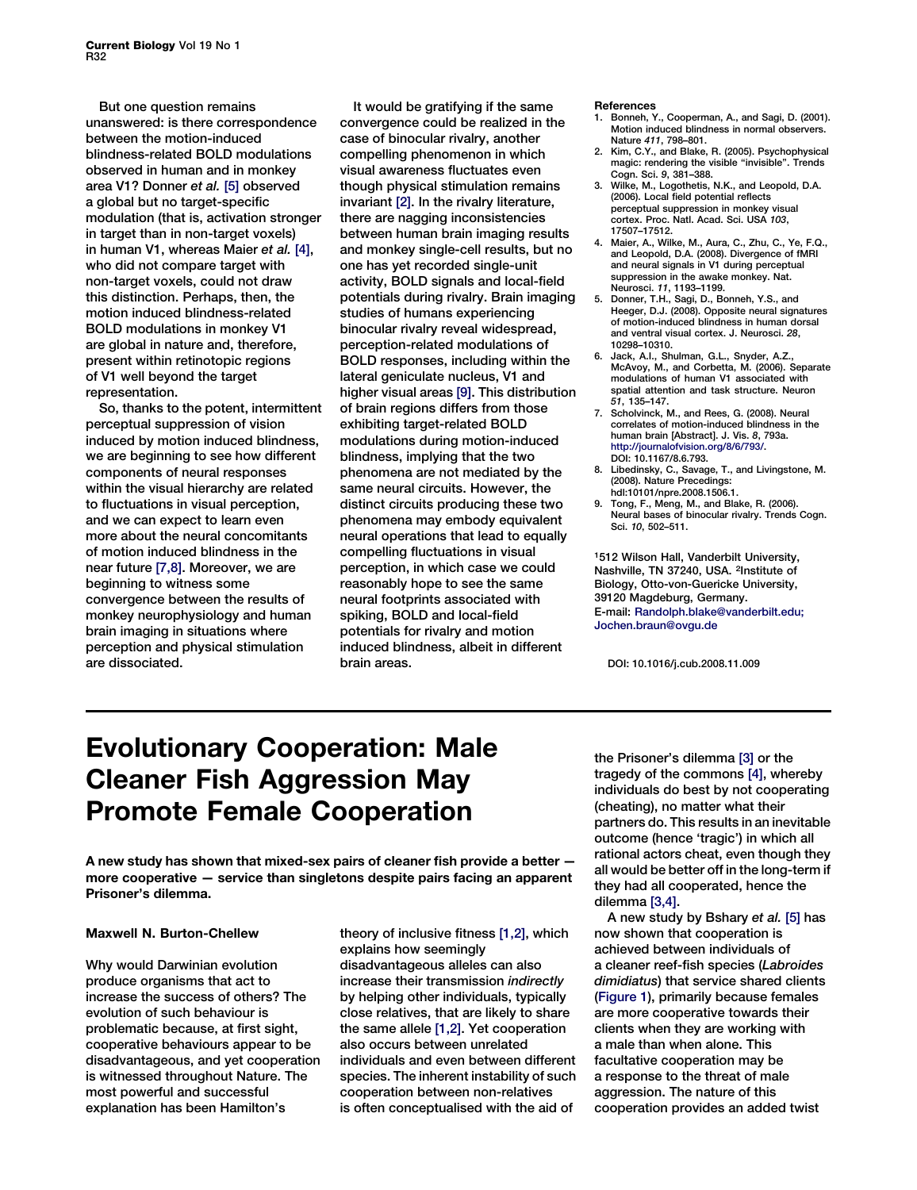But one question remains unanswered: is there correspondence between the motion-induced blindness-related BOLD modulations observed in human and in monkey area V1? Donner et al. [5] observed a global but no target-specific modulation (that is, activation stronger in target than in non-target voxels) in human V1, whereas Maier et al. [4], who did not compare target with non-target voxels, could not draw this distinction. Perhaps, then, the motion induced blindness-related BOLD modulations in monkey V1 are global in nature and, therefore, present within retinotopic regions of V1 well beyond the target representation.

So, thanks to the potent, intermittent perceptual suppression of vision induced by motion induced blindness, we are beginning to see how different components of neural responses within the visual hierarchy are related to fluctuations in visual perception, and we can expect to learn even more about the neural concomitants of motion induced blindness in the near future [7,8]. Moreover, we are beginning to witness some convergence between the results of monkey neurophysiology and human brain imaging in situations where perception and physical stimulation are dissociated.

It would be gratifying if the same convergence could be realized in the case of binocular rivalry, another compelling phenomenon in which visual awareness fluctuates even though physical stimulation remains invariant [2]. In the rivalry literature, there are nagging inconsistencies between human brain imaging results and monkey single-cell results, but no one has yet recorded single-unit activity, BOLD signals and local-field potentials during rivalry. Brain imaging studies of humans experiencing binocular rivalry reveal widespread, perception-related modulations of BOLD responses, including within the lateral geniculate nucleus, V1 and higher visual areas [9]. This distribution of brain regions differs from those exhibiting target-related BOLD modulations during motion-induced blindness, implying that the two phenomena are not mediated by the same neural circuits. However, the distinct circuits producing these two phenomena may embody equivalent neural operations that lead to equally compelling fluctuations in visual perception, in which case we could reasonably hope to see the same neural footprints associated with spiking, BOLD and local-field potentials for rivalry and motion induced blindness, albeit in different brain areas.

#### References

- 1. Bonneh, Y., Cooperman, A., and Sagi, D. (2001). Motion induced blindness in normal observers. Nature 411, 798–801.
- 2. Kim, C.Y., and Blake, R. (2005). Psychophysical magic: rendering the visible "invisible". Trends Cogn. Sci. 9, 381–388.
- 3. Wilke, M., Logothetis, N.K., and Leopold, D.A. (2006). Local field potential reflects perceptual suppression in monkey visual cortex. Proc. Natl. Acad. Sci. USA 103, 17507–17512.
- 4. Maier, A., Wilke, M., Aura, C., Zhu, C., Ye, F.Q., and Leopold, D.A. (2008). Divergence of fMRI and neural signals in V1 during perceptual suppression in the awake monkey. Nat. Neurosci. 11, 1193–1199.
- 5. Donner, T.H., Sagi, D., Bonneh, Y.S., and Heeger, D.J. (2008). Opposite neural signatures of motion-induced blindness in human dorsal and ventral visual cortex. J. Neurosci. 28, 10298–10310.
- 6. Jack, A.I., Shulman, G.L., Snyder, A.Z., McAvoy, M., and Corbetta, M. (2006). Separate modulations of human V1 associated with spatial attention and task structure. Neuron 51, 135–147.
- 7. Scholvinck, M., and Rees, G. (2008). Neural correlates of motion-induced blindness in the human brain [Abstract]. J. Vis. 8, 793a. [http://journalofvision.org/8/6/793/.](http://journalofvision.org/8/6/793/) DOI: 10.1167/8.6.793.
- 8. Libedinsky, C., Savage, T., and Livingstone, M. (2008). Nature Precedings: hdl:10101/npre.2008.1506.1.
- 9. Tong, F., Meng, M., and Blake, R. (2006). Neural bases of binocular rivalry. Trends Cogn. Sci. 10, 502–511.

1512 Wilson Hall, Vanderbilt University, Nashville, TN 37240, USA. 2Institute of Biology, Otto-von-Guericke University, 39120 Magdeburg, Germany. E-mail: Randolph.blake@vanderbilt.edu; Jochen.braun@ovgu.de

DOI: 10.1016/j.cub.2008.11.009

# Evolutionary Cooperation: Male Cleaner Fish Aggression May Promote Female Cooperation

A new study has shown that mixed-sex pairs of cleaner fish provide a better more cooperative — service than singletons despite pairs facing an apparent Prisoner's dilemma.

## Maxwell N. Burton-Chellew

Why would Darwinian evolution produce organisms that act to increase the success of others? The evolution of such behaviour is problematic because, at first sight, cooperative behaviours appear to be disadvantageous, and yet cooperation is witnessed throughout Nature. The most powerful and successful explanation has been Hamilton's

theory of inclusive fitness [\[1,2\],](#page-2-0) which explains how seemingly disadvantageous alleles can also increase their transmission indirectly by helping other individuals, typically close relatives, that are likely to share the same allele [\[1,2\]](#page-2-0). Yet cooperation also occurs between unrelated individuals and even between different species. The inherent instability of such cooperation between non-relatives is often conceptualised with the aid of

the Prisoner's dilemma [\[3\]](#page-2-0) or the tragedy of the commons [\[4\]](#page-2-0), whereby individuals do best by not cooperating (cheating), no matter what their partners do. This results in an inevitable outcome (hence 'tragic') in which all rational actors cheat, even though they all would be better off in the long-term if they had all cooperated, hence the dilemma [\[3,4\]](#page-2-0).

A new study by Bshary et al. [\[5\]](#page-2-0) has now shown that cooperation is achieved between individuals of a cleaner reef-fish species (Labroides dimidiatus) that service shared clients ([Figure 1](#page-1-0)), primarily because females are more cooperative towards their clients when they are working with a male than when alone. This facultative cooperation may be a response to the threat of male aggression. The nature of this cooperation provides an added twist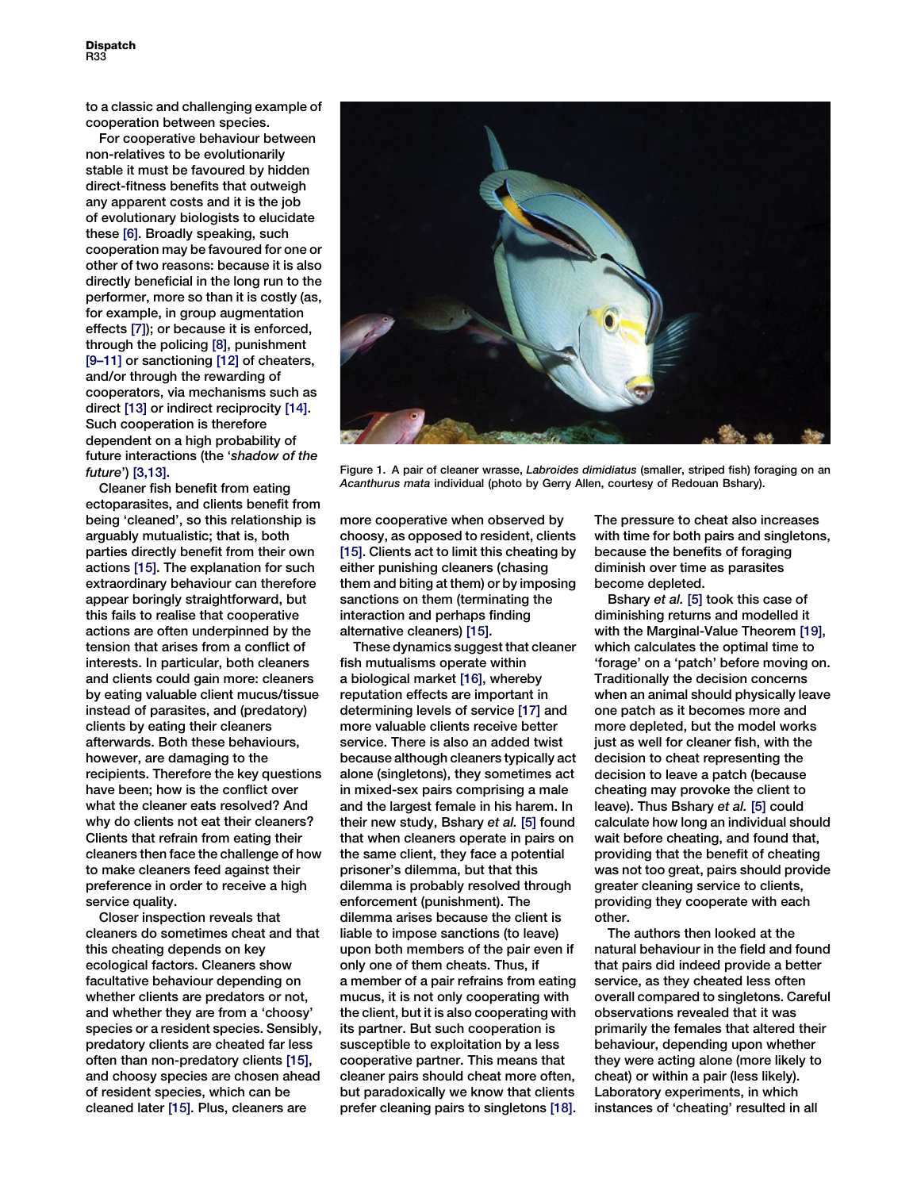<span id="page-1-0"></span>to a classic and challenging example of cooperation between species.

For cooperative behaviour between non-relatives to be evolutionarily stable it must be favoured by hidden direct-fitness benefits that outweigh any apparent costs and it is the job of evolutionary biologists to elucidate these [\[6\].](#page-2-0) Broadly speaking, such cooperation may be favoured for one or other of two reasons: because it is also directly beneficial in the long run to the performer, more so than it is costly (as, for example, in group augmentation effects [\[7\]](#page-2-0)); or because it is enforced, through the policing [\[8\]](#page-2-0), punishment [\[9–11\]](#page-2-0) or sanctioning [\[12\]](#page-2-0) of cheaters, and/or through the rewarding of cooperators, via mechanisms such as direct [\[13\]](#page-2-0) or indirect reciprocity [\[14\]](#page-2-0). Such cooperation is therefore dependent on a high probability of future interactions (the 'shadow of the future') [\[3,13\]](#page-2-0).

Cleaner fish benefit from eating ectoparasites, and clients benefit from being 'cleaned', so this relationship is arguably mutualistic; that is, both parties directly benefit from their own actions [\[15\].](#page-2-0) The explanation for such extraordinary behaviour can therefore appear boringly straightforward, but this fails to realise that cooperative actions are often underpinned by the tension that arises from a conflict of interests. In particular, both cleaners and clients could gain more: cleaners by eating valuable client mucus/tissue instead of parasites, and (predatory) clients by eating their cleaners afterwards. Both these behaviours, however, are damaging to the recipients. Therefore the key questions have been; how is the conflict over what the cleaner eats resolved? And why do clients not eat their cleaners? Clients that refrain from eating their cleaners then face the challenge of how to make cleaners feed against their preference in order to receive a high service quality.

Closer inspection reveals that cleaners do sometimes cheat and that this cheating depends on key ecological factors. Cleaners show facultative behaviour depending on whether clients are predators or not, and whether they are from a 'choosy' species or a resident species. Sensibly, predatory clients are cheated far less often than non-predatory clients [\[15\]](#page-2-0), and choosy species are chosen ahead of resident species, which can be cleaned later [\[15\]](#page-2-0). Plus, cleaners are



Figure 1. A pair of cleaner wrasse, Labroides dimidiatus (smaller, striped fish) foraging on an Acanthurus mata individual (photo by Gerry Allen, courtesy of Redouan Bshary).

more cooperative when observed by choosy, as opposed to resident, clients [\[15\].](#page-2-0) Clients act to limit this cheating by either punishing cleaners (chasing them and biting at them) or by imposing sanctions on them (terminating the interaction and perhaps finding alternative cleaners) [\[15\].](#page-2-0)

These dynamics suggest that cleaner fish mutualisms operate within a biological market [\[16\]](#page-2-0), whereby reputation effects are important in determining levels of service [\[17\]](#page-2-0) and more valuable clients receive better service. There is also an added twist because although cleaners typically act alone (singletons), they sometimes act in mixed-sex pairs comprising a male and the largest female in his harem. In their new study, Bshary et al. [\[5\]](#page-2-0) found that when cleaners operate in pairs on the same client, they face a potential prisoner's dilemma, but that this dilemma is probably resolved through enforcement (punishment). The dilemma arises because the client is liable to impose sanctions (to leave) upon both members of the pair even if only one of them cheats. Thus, if a member of a pair refrains from eating mucus, it is not only cooperating with the client, but it is also cooperating with its partner. But such cooperation is susceptible to exploitation by a less cooperative partner. This means that cleaner pairs should cheat more often, but paradoxically we know that clients prefer cleaning pairs to singletons [\[18\].](#page-2-0)

The pressure to cheat also increases with time for both pairs and singletons, because the benefits of foraging diminish over time as parasites become depleted.

Bshary et al. [\[5\]](#page-2-0) took this case of diminishing returns and modelled it with the Marginal-Value Theorem [\[19\]](#page-2-0), which calculates the optimal time to 'forage' on a 'patch' before moving on. Traditionally the decision concerns when an animal should physically leave one patch as it becomes more and more depleted, but the model works just as well for cleaner fish, with the decision to cheat representing the decision to leave a patch (because cheating may provoke the client to leave). Thus Bshary et al. [\[5\]](#page-2-0) could calculate how long an individual should wait before cheating, and found that, providing that the benefit of cheating was not too great, pairs should provide greater cleaning service to clients, providing they cooperate with each other.

The authors then looked at the natural behaviour in the field and found that pairs did indeed provide a better service, as they cheated less often overall compared to singletons. Careful observations revealed that it was primarily the females that altered their behaviour, depending upon whether they were acting alone (more likely to cheat) or within a pair (less likely). Laboratory experiments, in which instances of 'cheating' resulted in all